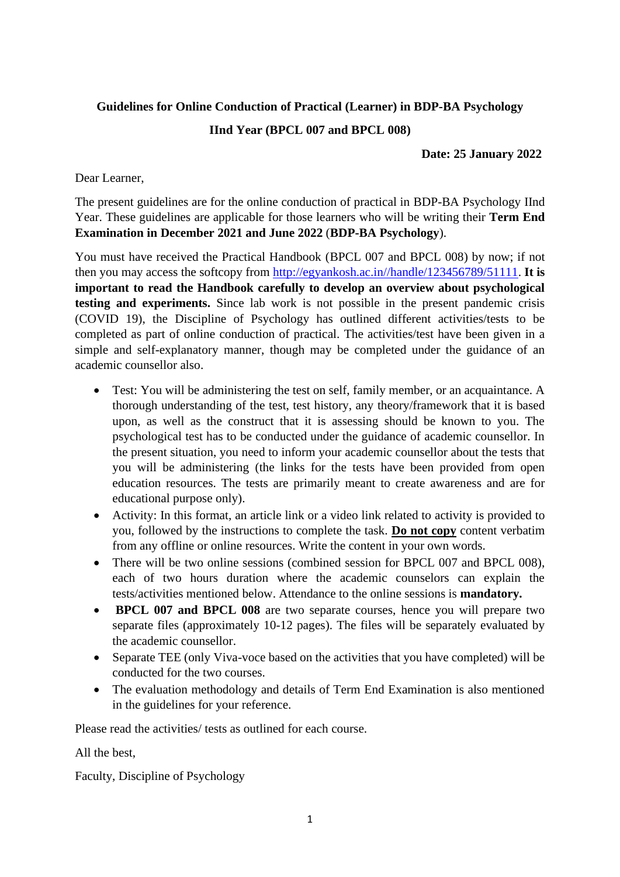# **Guidelines for Online Conduction of Practical (Learner) in BDP-BA Psychology**

# **IInd Year (BPCL 007 and BPCL 008)**

# **Date: 25 January 2022**

Dear Learner,

The present guidelines are for the online conduction of practical in BDP-BA Psychology IInd Year. These guidelines are applicable for those learners who will be writing their **Term End Examination in December 2021 and June 2022** (**BDP-BA Psychology**).

You must have received the Practical Handbook (BPCL 007 and BPCL 008) by now; if not then you may access the softcopy from [http://egyankosh.ac.in//handle/123456789/51111.](http://egyankosh.ac.in/handle/123456789/51111) **It is important to read the Handbook carefully to develop an overview about psychological testing and experiments.** Since lab work is not possible in the present pandemic crisis (COVID 19), the Discipline of Psychology has outlined different activities/tests to be completed as part of online conduction of practical. The activities/test have been given in a simple and self-explanatory manner, though may be completed under the guidance of an academic counsellor also.

- Test: You will be administering the test on self, family member, or an acquaintance. A thorough understanding of the test, test history, any theory/framework that it is based upon, as well as the construct that it is assessing should be known to you. The psychological test has to be conducted under the guidance of academic counsellor. In the present situation, you need to inform your academic counsellor about the tests that you will be administering (the links for the tests have been provided from open education resources. The tests are primarily meant to create awareness and are for educational purpose only).
- Activity: In this format, an article link or a video link related to activity is provided to you, followed by the instructions to complete the task. **Do not copy** content verbatim from any offline or online resources. Write the content in your own words.
- There will be two online sessions (combined session for BPCL 007 and BPCL 008), each of two hours duration where the academic counselors can explain the tests/activities mentioned below. Attendance to the online sessions is **mandatory.**
- **BPCL 007 and BPCL 008** are two separate courses, hence you will prepare two separate files (approximately 10-12 pages). The files will be separately evaluated by the academic counsellor.
- Separate TEE (only Viva-voce based on the activities that you have completed) will be conducted for the two courses.
- The evaluation methodology and details of Term End Examination is also mentioned in the guidelines for your reference.

Please read the activities/ tests as outlined for each course.

All the best,

Faculty, Discipline of Psychology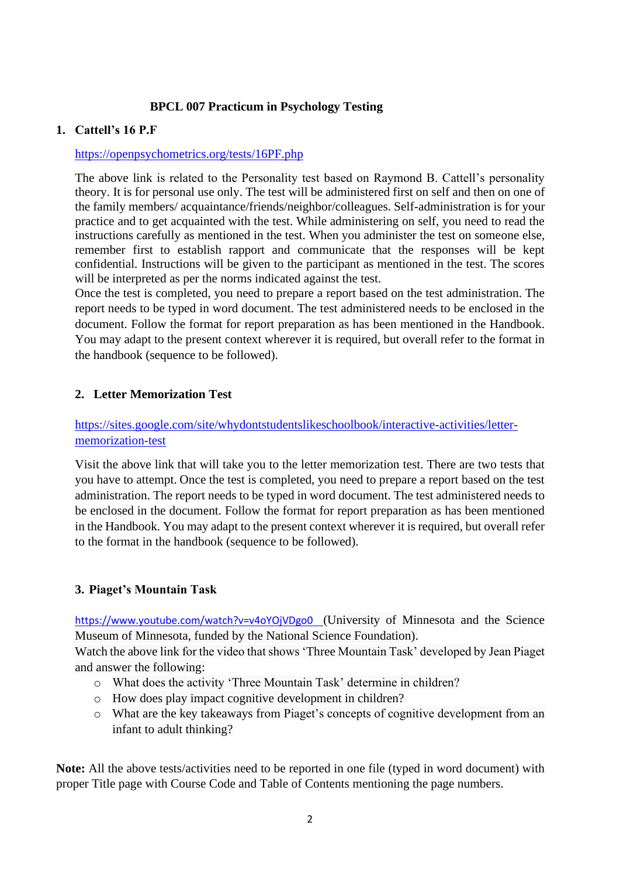# **BPCL 007 Practicum in Psychology Testing**

### **1. Cattell's 16 P.F**

### <https://openpsychometrics.org/tests/16PF.php>

The above link is related to the Personality test based on Raymond B. Cattell's personality theory. It is for personal use only. The test will be administered first on self and then on one of the family members/ acquaintance/friends/neighbor/colleagues. Self-administration is for your practice and to get acquainted with the test. While administering on self, you need to read the instructions carefully as mentioned in the test. When you administer the test on someone else, remember first to establish rapport and communicate that the responses will be kept confidential. Instructions will be given to the participant as mentioned in the test. The scores will be interpreted as per the norms indicated against the test.

Once the test is completed, you need to prepare a report based on the test administration. The report needs to be typed in word document. The test administered needs to be enclosed in the document. Follow the format for report preparation as has been mentioned in the Handbook. You may adapt to the present context wherever it is required, but overall refer to the format in the handbook (sequence to be followed).

### **2. Letter Memorization Test**

# [https://sites.google.com/site/whydontstudentslikeschoolbook/interactive-activities/letter](https://sites.google.com/site/whydontstudentslikeschoolbook/interactive-activities/letter-memorization-test)[memorization-test](https://sites.google.com/site/whydontstudentslikeschoolbook/interactive-activities/letter-memorization-test)

Visit the above link that will take you to the letter memorization test. There are two tests that you have to attempt. Once the test is completed, you need to prepare a report based on the test administration. The report needs to be typed in word document. The test administered needs to be enclosed in the document. Follow the format for report preparation as has been mentioned in the Handbook. You may adapt to the present context wherever it is required, but overall refer to the format in the handbook (sequence to be followed).

# **3. Piaget's Mountain Task**

<https://www.youtube.com/watch?v=v4oYOjVDgo0>(University of Minnesota and the Science Museum of Minnesota, funded by the National Science Foundation).

Watch the above link for the video that shows 'Three Mountain Task' developed by Jean Piaget and answer the following:

- o What does the activity 'Three Mountain Task' determine in children?
- o How does play impact cognitive development in children?
- o What are the key takeaways from Piaget's concepts of cognitive development from an infant to adult thinking?

**Note:** All the above tests/activities need to be reported in one file (typed in word document) with proper Title page with Course Code and Table of Contents mentioning the page numbers.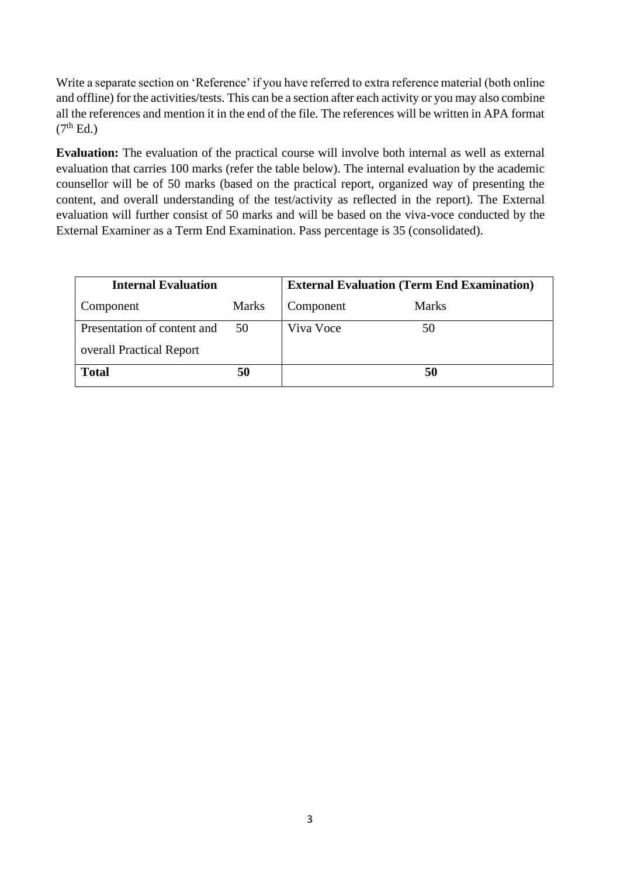Write a separate section on 'Reference' if you have referred to extra reference material (both online and offline) for the activities/tests. This can be a section after each activity or you may also combine all the references and mention it in the end of the file. The references will be written in APA format  $(7<sup>th</sup> Ed.)$ 

 **Evaluation:** The evaluation of the practical course will involve both internal as well as external evaluation that carries 100 marks (refer the table below). The internal evaluation by the academic counsellor will be of 50 marks (based on the practical report, organized way of presenting the content, and overall understanding of the test/activity as reflected in the report). The External evaluation will further consist of 50 marks and will be based on the viva-voce conducted by the External Examiner as a Term End Examination. Pass percentage is 35 (consolidated).

| <b>Internal Evaluation</b>  |              | <b>External Evaluation (Term End Examination)</b> |              |
|-----------------------------|--------------|---------------------------------------------------|--------------|
| Component                   | <b>Marks</b> | Component                                         | <b>Marks</b> |
| Presentation of content and | 50           | Viva Voce                                         | 50           |
| overall Practical Report    |              |                                                   |              |
| <b>Total</b>                | 50           |                                                   | 50           |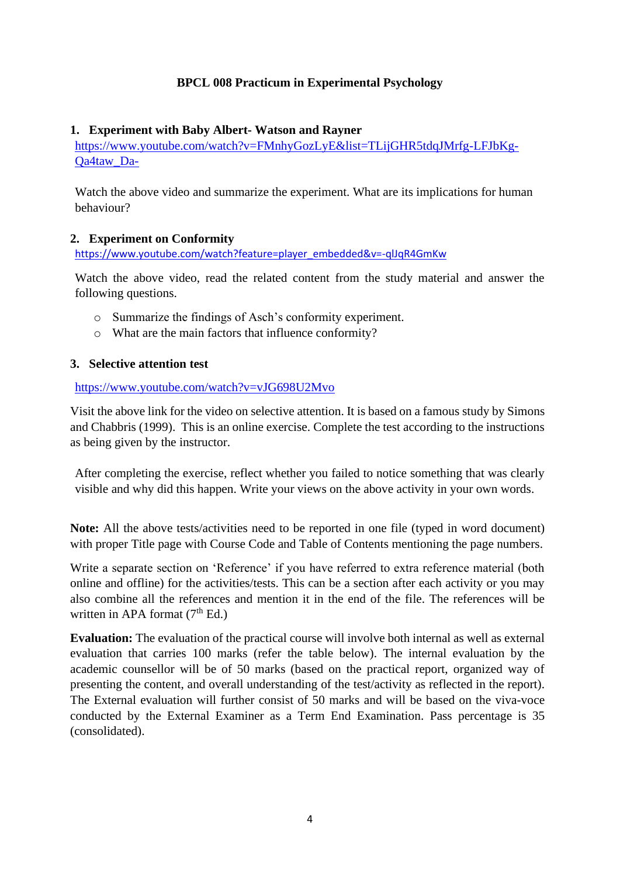### **BPCL 008 Practicum in Experimental Psychology**

### **1. Experiment with Baby Albert- Watson and Rayner**

[https://www.youtube.com/watch?v=FMnhyGozLyE&list=TLijGHR5tdqJMrfg-LFJbKg-](https://www.youtube.com/watch?v=FMnhyGozLyE&list=TLijGHR5tdqJMrfg-LFJbKg-Qa4taw_Da-)[Qa4taw\\_Da-](https://www.youtube.com/watch?v=FMnhyGozLyE&list=TLijGHR5tdqJMrfg-LFJbKg-Qa4taw_Da-)

Watch the above video and summarize the experiment. What are its implications for human behaviour?

### **2. Experiment on Conformity**

[https://www.youtube.com/watch?feature=player\\_embedded&v=-qlJqR4GmKw](https://www.youtube.com/watch?feature=player_embedded&v=-qlJqR4GmKw)

Watch the above video, read the related content from the study material and answer the following questions.

- o Summarize the findings of Asch's conformity experiment.
- o What are the main factors that influence conformity?

### **3. Selective attention test**

#### <https://www.youtube.com/watch?v=vJG698U2Mvo>

Visit the above link for the video on selective attention. It is based on a famous study by Simons and Chabbris (1999). This is an online exercise. Complete the test according to the instructions as being given by the instructor.

After completing the exercise, reflect whether you failed to notice something that was clearly visible and why did this happen. Write your views on the above activity in your own words.

**Note:** All the above tests/activities need to be reported in one file (typed in word document) with proper Title page with Course Code and Table of Contents mentioning the page numbers.

Write a separate section on 'Reference' if you have referred to extra reference material (both online and offline) for the activities/tests. This can be a section after each activity or you may also combine all the references and mention it in the end of the file. The references will be written in APA format  $(7<sup>th</sup> Ed.)$ 

**Evaluation:** The evaluation of the practical course will involve both internal as well as external evaluation that carries 100 marks (refer the table below). The internal evaluation by the academic counsellor will be of 50 marks (based on the practical report, organized way of presenting the content, and overall understanding of the test/activity as reflected in the report). The External evaluation will further consist of 50 marks and will be based on the viva-voce conducted by the External Examiner as a Term End Examination. Pass percentage is 35 (consolidated).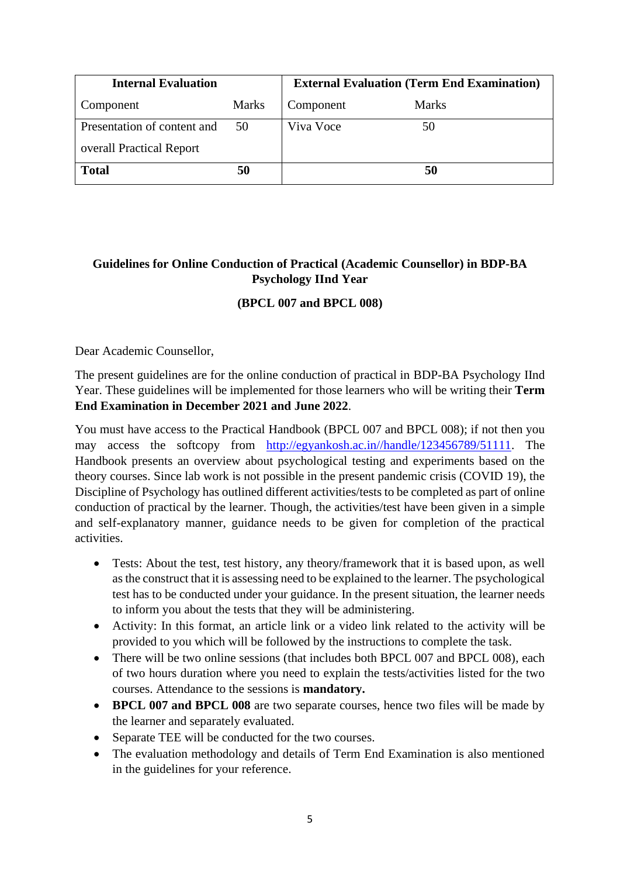| <b>Internal Evaluation</b>  |              | <b>External Evaluation (Term End Examination)</b> |              |
|-----------------------------|--------------|---------------------------------------------------|--------------|
| Component                   | <b>Marks</b> | Component                                         | <b>Marks</b> |
| Presentation of content and | 50           | Viva Voce                                         | 50           |
| overall Practical Report    |              |                                                   |              |
| <b>Total</b>                | 50           |                                                   | 50           |

# **Guidelines for Online Conduction of Practical (Academic Counsellor) in BDP-BA Psychology IInd Year**

# **(BPCL 007 and BPCL 008)**

Dear Academic Counsellor,

The present guidelines are for the online conduction of practical in BDP-BA Psychology IInd Year. These guidelines will be implemented for those learners who will be writing their **Term End Examination in December 2021 and June 2022**.

You must have access to the Practical Handbook (BPCL 007 and BPCL 008); if not then you may access the softcopy from [http://egyankosh.ac.in//handle/123456789/51111.](http://egyankosh.ac.in/handle/123456789/51111) The Handbook presents an overview about psychological testing and experiments based on the theory courses. Since lab work is not possible in the present pandemic crisis (COVID 19), the Discipline of Psychology has outlined different activities/tests to be completed as part of online conduction of practical by the learner. Though, the activities/test have been given in a simple and self-explanatory manner, guidance needs to be given for completion of the practical activities.

- Tests: About the test, test history, any theory/framework that it is based upon, as well as the construct that it is assessing need to be explained to the learner. The psychological test has to be conducted under your guidance. In the present situation, the learner needs to inform you about the tests that they will be administering.
- Activity: In this format, an article link or a video link related to the activity will be provided to you which will be followed by the instructions to complete the task.
- There will be two online sessions (that includes both BPCL 007 and BPCL 008), each of two hours duration where you need to explain the tests/activities listed for the two courses. Attendance to the sessions is **mandatory.**
- **BPCL 007 and BPCL 008** are two separate courses, hence two files will be made by the learner and separately evaluated.
- Separate TEE will be conducted for the two courses.
- The evaluation methodology and details of Term End Examination is also mentioned in the guidelines for your reference.